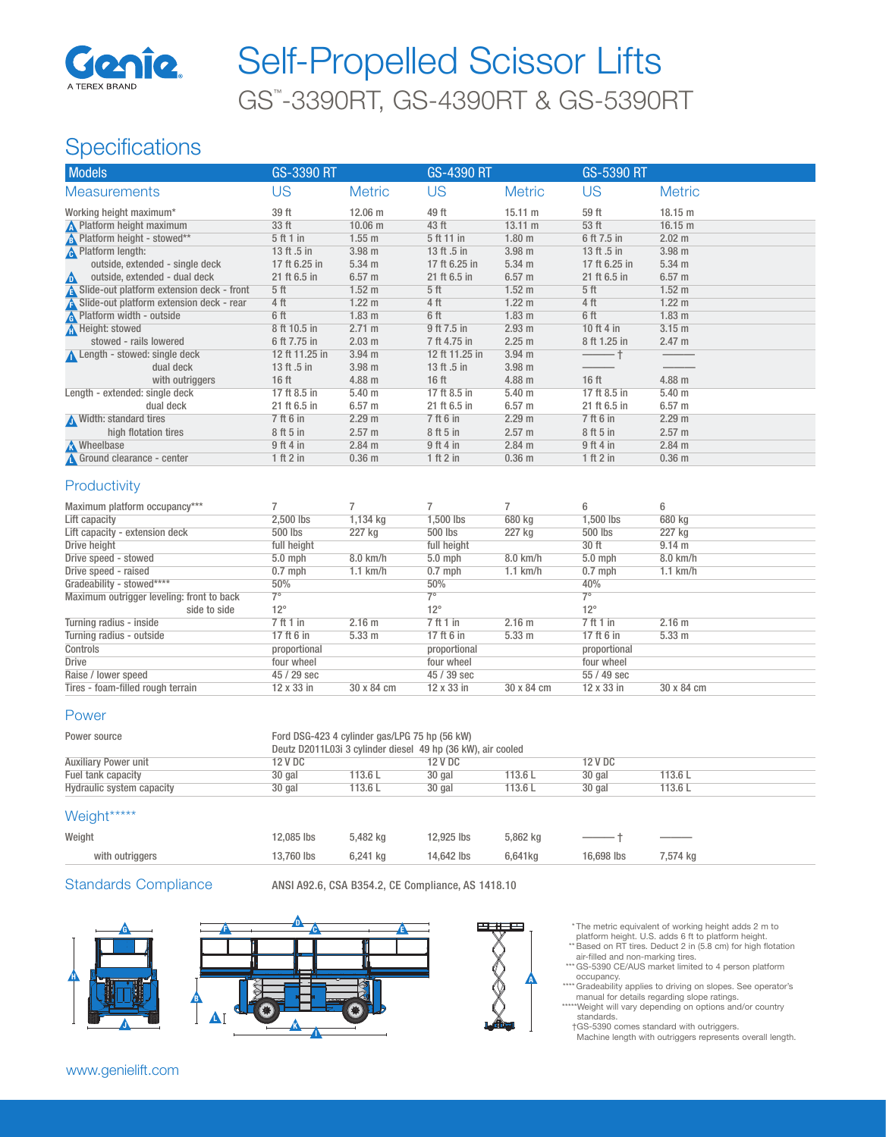

# GS™ -3390RT, GS-4390RT & GS-5390RT Self-Propelled Scissor Lifts

## **Specifications**

| <b>Models</b>                                                                             | <b>GS-3390 RT</b> |                   | <b>GS-4390 RT</b> |                   | GS-5390 RT       |                   |
|-------------------------------------------------------------------------------------------|-------------------|-------------------|-------------------|-------------------|------------------|-------------------|
| <b>Measurements</b>                                                                       | US                | <b>Metric</b>     | US                | <b>Metric</b>     | US               | <b>Metric</b>     |
| Working height maximum*                                                                   | 39 ft             | 12.06 m           | 49 ft             | 15.11 m           | 59 ft            | 18.15 m           |
| No Platform height maximum                                                                | 33 ft             | 10.06 m           | 43 ft             | $13.11 \text{ m}$ | 53 ft            | 16.15 m           |
| <b>A</b> Platform height - stowed**                                                       | 5 ft 1 in         | $1.55$ m          | 5 ft 11 in        | 1.80 <sub>m</sub> | 6 ft 7.5 in      | $2.02 \text{ m}$  |
| <b>A</b> Platform length:                                                                 | 13 ft .5 in       | 3.98 <sub>m</sub> | 13 ft .5 in       | 3.98 <sub>m</sub> | 13 ft .5 in      | 3.98 <sub>m</sub> |
| outside, extended - single deck                                                           | 17 ft 6.25 in     | $5.34 \text{ m}$  | 17 ft 6.25 in     | $5.34 \; m$       | 17 ft 6.25 in    | $5.34$ m          |
| outside, extended - dual deck<br>$\Delta$                                                 | 21 ft 6.5 in      | $6.57 \; m$       | 21 ft 6.5 in      | 6.57 m            | 21 ft 6.5 in     | 6.57 <sub>m</sub> |
| A Slide-out platform extension deck - front<br>A Slide-out platform extension deck - rear | 5 <sup>th</sup>   | 1.52 <sub>m</sub> | 5 <sub>ft</sub>   | 1.52 <sub>m</sub> | 5 <sup>th</sup>  | 1.52 <sub>m</sub> |
|                                                                                           | 4 ft              | 1.22 <sub>m</sub> | 4 ft              | $1.22 \text{ m}$  | 4 ft             | $1.22 \text{ m}$  |
| <b>A</b> Platform width - outside                                                         | 6 ft              | 1.83 <sub>m</sub> | 6 ft              | 1.83 <sub>m</sub> | 6 ft             | 1.83 <sub>m</sub> |
| <b>A</b> Height: stowed                                                                   | 8 ft 10.5 in      | 2.71 m            | 9 ft 7.5 in       | $2.93 \text{ m}$  | 10 ft 4 in       | 3.15 <sub>m</sub> |
| stowed - rails lowered                                                                    | 6 ft 7.75 in      | 2.03 <sub>m</sub> | 7 ft 4.75 in      | 2.25 m            | 8 ft 1.25 in     | 2.47 m            |
| Length - stowed: single deck                                                              | 12 ft 11.25 in    | $3.94 \text{ m}$  | 12 ft 11.25 in    | 3.94 <sub>m</sub> |                  |                   |
| dual deck                                                                                 | 13 ft .5 in       | 3.98 <sub>m</sub> | 13 ft .5 in       | 3.98 <sub>m</sub> |                  |                   |
| with outriggers                                                                           | $16$ ft           | 4.88 <sub>m</sub> | 16 <sub>ft</sub>  | 4.88 m            | 16 <sub>ft</sub> | 4.88 m            |
| Length - extended: single deck                                                            | 17 ft 8.5 in      | 5.40 <sub>m</sub> | 17 ft 8.5 in      | 5.40 <sub>m</sub> | 17 ft 8.5 in     | 5.40 <sub>m</sub> |
| dual deck                                                                                 | 21 ft 6.5 in      | 6.57 m            | 21 ft 6.5 in      | 6.57 m            | 21 ft 6.5 in     | 6.57 m            |
| Width: standard tires                                                                     | 7 ft 6 in         | 2.29 m            | 7 ft 6 in         | 2.29 m            | 7 ft 6 in        | 2.29 m            |
| high flotation tires                                                                      | 8 ft 5 in         | 2.57 m            | 8 ft 5 in         | $2.57 \text{ m}$  | 8 ft 5 in        | 2.57 m            |
| Wheelbase                                                                                 | 9 ft 4 in         | $2.84$ m          | 9 ft 4 in         | 2.84 m            | $9$ ft 4 in      | $2.84$ m          |
| Ground clearance - center                                                                 | 1 ft 2 in         | 0.36 <sub>m</sub> | 1 ft 2 in         | 0.36 <sub>m</sub> | 1 ft 2 in        | 0.36 <sub>m</sub> |

#### **Productivity**

| Maximum platform occupancy***             |              |                   |              |                   | 6            | 6                |
|-------------------------------------------|--------------|-------------------|--------------|-------------------|--------------|------------------|
| Lift capacity                             | 2.500 lbs    | 1,134 kg          | 1.500 lbs    | 680 kg            | 1.500 lbs    | 680 kg           |
| Lift capacity - extension deck            | 500 lbs      | 227 kg            | 500 lbs      | 227 kg            | 500 lbs      | 227 kg           |
| Drive height                              | full height  |                   | full height  |                   | 30 ft        | 9.14 m           |
| Drive speed - stowed                      | $5.0$ mph    | 8.0 km/h          | $5.0$ mph    | 8.0 km/h          | $5.0$ mph    | 8.0 km/h         |
| Drive speed - raised                      | $0.7$ mph    | $1.1$ km/h        | $0.7$ mph    | $1.1$ km/h        | $0.7$ mph    | $1.1$ km/h       |
| Gradeability - stowed****                 | 50%          |                   | 50%          |                   | 40%          |                  |
| Maximum outrigger leveling: front to back | $7^\circ$    |                   | 70           |                   | 7°           |                  |
| side to side                              | $12^{\circ}$ |                   | $12^{\circ}$ |                   | $12^{\circ}$ |                  |
| Turning radius - inside                   | 7 ft 1 in    | 2.16 m            | 7 ft 1 in    | 2.16 <sub>m</sub> | 7 ft 1 in    | $2.16$ m         |
| Turning radius - outside                  | 17 ft 6 in   | 5.33 <sub>m</sub> | 17 ft 6 in   | 5.33 <sub>m</sub> | 17 ft 6 in   | $5.33 \text{ m}$ |
| Controls                                  | proportional |                   | proportional |                   | proportional |                  |
| Drive                                     | four wheel   |                   | four wheel   |                   | four wheel   |                  |
| Raise / lower speed                       | 45 / 29 sec  |                   | 45 / 39 sec  |                   | 55 / 49 sec  |                  |
| Tires - foam-filled rough terrain         | 12 x 33 in   | 30 x 84 cm        | 12 x 33 in   | 30 x 84 cm        | 12 x 33 in   | 30 x 84 cm       |

#### Power

| Power source                | Ford DSG-423 4 cylinder gas/LPG 75 hp (56 kW)<br>Deutz D2011L03i 3 cylinder diesel 49 hp (36 kW), air cooled |         |         |           |         |         |  |
|-----------------------------|--------------------------------------------------------------------------------------------------------------|---------|---------|-----------|---------|---------|--|
| <b>Auxiliary Power unit</b> | 12 V DC                                                                                                      |         | 12 V DC |           | 12 V DC |         |  |
| Fuel tank capacity          | 30 gal                                                                                                       | 113.6 L | 30 gal  | 113.6 L   | 30 gal  | 113.6L  |  |
| Hydraulic system capacity   | 30 gal                                                                                                       | 113.6L  | 30 gal  | 113.6 $L$ | 30 gal  | 113.6 L |  |

#### Weight\*\*\*\*\*

| .               |            |          |            |          |            |          |
|-----------------|------------|----------|------------|----------|------------|----------|
| Weight          | 12,085 lbs | 5.482 ka | 12.925 lbs | 5.862 ka |            |          |
| with outriggers | 13.760 lbs | 6.241 ka | 14.642 lbs | 6.641ka  | 16,698 lbs | 7.574 ka |
|                 |            |          |            |          |            |          |

Standards Compliance ANSI A92.6, CSA B354.2, CE Compliance, AS 1418.10







- \* The metric equivalent of working height adds 2 m to platform height. U.S. adds 6 ft to platform height.
- 
- \*\* Based on RT tires. Deduct 2 in (5.8 cm) for high flotation air-filled and non-marking tires. \*\*\* GS-5390 CE/AUS market limited to 4 person platform
- occupancy. \*\*\*\* Gradeability applies to driving on slopes. See operator's manual for details regarding slope ratings.
- \*\*\*\*\*Weight will vary depending on options and/or country<br>standards.

†GS-5390 comes standard with outriggers. Machine length with outriggers represents overall length.